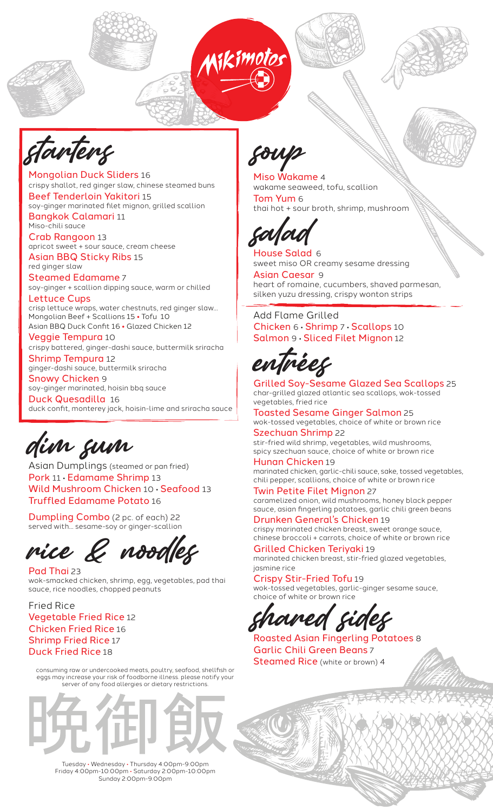



starters

Mongolian Duck Sliders 16 crispy shallot, red ginger slaw, chinese steamed buns Beef Tenderloin Yakitori 15 soy-ginger marinated filet mignon, grilled scallion Bangkok Calamari 11 Miso-chili sauce

Crab Rangoon 13 apricot sweet + sour sauce, cream cheese

Asian BBQ Sticky Ribs 15 red ginger slaw

Steamed Edamame 7 soy-ginger + scallion dipping sauce, warm or chilled

Lettuce Cups crisp lettuce wraps, water chestnuts, red ginger slaw... Mongolian Beef + Scallions 15 **•** Tofu 10 Asian BBQ Duck Confit 16 **•** Glazed Chicken 12

Veggie Tempura 10 crispy battered, ginger-dashi sauce, buttermilk sriracha

Shrimp Tempura 12 ginger-dashi sauce, buttermilk sriracha

Snowy Chicken 9 soy-ginger marinated, hoisin bbq sauce

Duck Quesadilla 16 duck confit, monterey jack, hoisin-lime and sriracha sauce

dim sum

Asian Dumplings (steamed or pan fried) Pork 11 • Edamame Shrimp 13 Wild Mushroom Chicken 10 • Seafood 13 Truffled Edamame Potato 16

Dumpling Combo (2 pc. of each) 22 served with... sesame-soy or ginger-scallion

rice & noodles

Pad Thai 23 wok-smacked chicken, shrimp, egg, vegetables, pad thai sauce, rice noodles, chopped peanuts

Fried Rice Vegetable Fried Rice 12 Chicken Fried Rice 16 Shrimp Fried Rice 17 Duck Fried Rice 18

consuming raw or undercooked meats, poultry, seafood, shellfish or eggs may increase your risk of foodborne illness. please notify your .<br>server of any food allergies or dietary restrictions



Tuesday • Wednesday • Thursday 4:00pm-9:00pm Friday 4:00pm-10:00pm • Saturday 2:00pm-10:00pm Sunday 2:00pm-9:00pm

soup

Miso Wakame 4 wakame seaweed, tofu, scallion Tom Yum 6 thai hot + sour broth, shrimp, mushroom



House Salad 6 sweet miso OR creamy sesame dressing

Asian Caesar 9 heart of romaine, cucumbers, shaved parmesan, silken yuzu dressing, crispy wonton strips

Add Flame Grilled Chicken 6 • Shrimp 7 • Scallops 10 Salmon 9 • Sliced Filet Mignon 12

entrées

Grilled Soy-Sesame Glazed Sea Scallops 25 char-grilled glazed atlantic sea scallops, wok-tossed vegetables, fried rice

Toasted Sesame Ginger Salmon 25 wok-tossed vegetables, choice of white or brown rice Szechuan Shrimp 22

stir-fried wild shrimp, vegetables, wild mushrooms, spicy szechuan sauce, choice of white or brown rice

Hunan Chicken 19 marinated chicken, garlic-chili sauce, sake, tossed vegetables, chili pepper, scallions, choice of white or brown rice

Twin Petite Filet Mignon 27 caramelized onion, wild mushrooms, honey black pepper sauce, asian fingerling potatoes, garlic chili green beans Drunken General's Chicken 19

crispy marinated chicken breast, sweet orange sauce, chinese broccoli + carrots, choice of white or brown rice

Grilled Chicken Teriyaki 19 marinated chicken breast, stir-fried glazed vegetables, jasmine rice

Crispy Stir-Fried Tofu 19 wok-tossed vegetables, garlic-ginger sesame sauce, choice of white or brown rice

aned side

Roasted Asian Fingerling Potatoes 8 Garlic Chili Green Beans 7 Steamed Rice (white or brown) 4